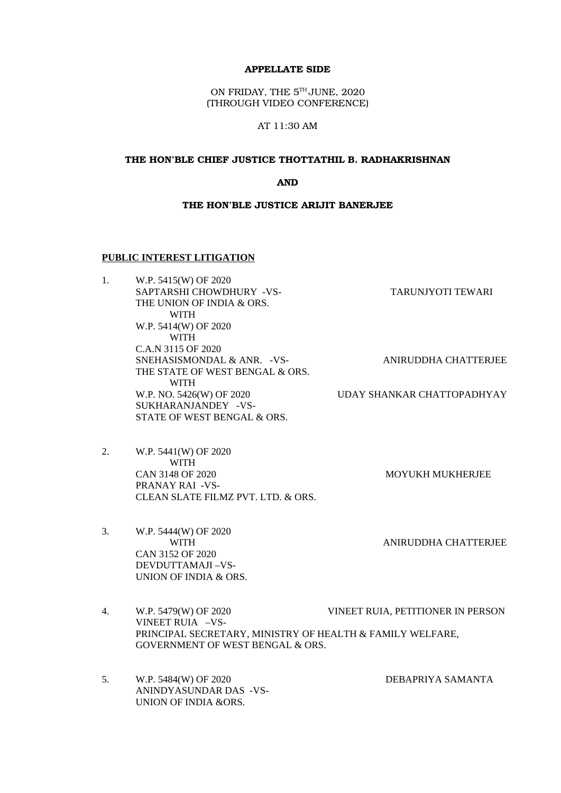#### APPELLATE SIDE

ON FRIDAY, THE  $5^{\text{th}}$ JUNE, 2020 (THROUGH VIDEO CONFERENCE)

AT 11:30 AM

#### THE HON'BLE CHIEF JUSTICE THOTTATHIL B. RADHAKRISHNAN

AND

#### THE HON'BLE JUSTICE ARIJIT BANERJEE

#### **PUBLIC INTEREST LITIGATION**

| W.P. 5415(W) OF 2020            |                            |
|---------------------------------|----------------------------|
| SAPTARSHI CHOWDHURY -VS-        | TARUNJYOTI TEWARI          |
| THE UNION OF INDIA & ORS.       |                            |
| <b>WITH</b>                     |                            |
| W.P. 5414(W) OF 2020            |                            |
| WITH                            |                            |
| C.A.N 3115 OF 2020              |                            |
| SNEHASISMONDAL & ANR. - VS-     | ANIRUDDHA CHATTERJEE       |
| THE STATE OF WEST BENGAL & ORS. |                            |
| <b>WITH</b>                     |                            |
| W.P. NO. 5426(W) OF 2020        | UDAY SHANKAR CHATTOPADHYAY |
| SUKHARANJANDEY -VS-             |                            |
| STATE OF WEST BENGAL & ORS.     |                            |
|                                 |                            |

- 2. W.P. 5441(W) OF 2020 WITH CAN 3148 OF 2020 MOYUKH MUKHERJEE PRANAY RAI -VS-CLEAN SLATE FILMZ PVT. LTD. & ORS.
- 3. W.P. 5444(W) OF 2020 WITH **ANIRUDDHA CHATTERJEE** CAN 3152 OF 2020 DEVDUTTAMAJI –VS-UNION OF INDIA & ORS.

4. W.P. 5479(W) OF 2020 VINEET RUIA, PETITIONER IN PERSON VINEET RUIA –VS-PRINCIPAL SECRETARY, MINISTRY OF HEALTH & FAMILY WELFARE, GOVERNMENT OF WEST BENGAL & ORS.

5. W.P. 5484(W) OF 2020 DEBAPRIYA SAMANTA ANINDYASUNDAR DAS -VS-UNION OF INDIA &ORS.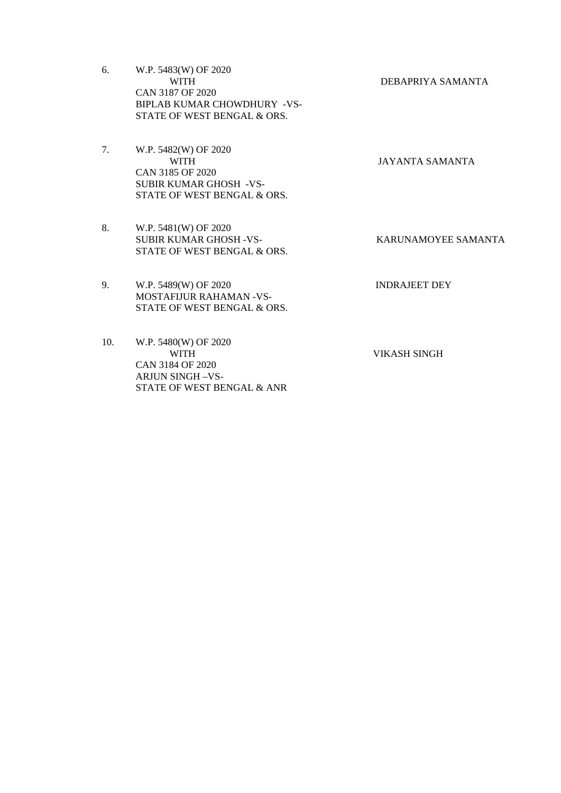6. W.P. 5483(W) OF 2020 WITH DEBAPRIYA SAMANTA CAN 3187 OF 2020 BIPLAB KUMAR CHOWDHURY -VS-STATE OF WEST BENGAL & ORS.

7. W.P. 5482(W) OF 2020 WITH JAYANTA SAMANTA CAN 3185 OF 2020 SUBIR KUMAR GHOSH -VS-STATE OF WEST BENGAL & ORS.

8. W.P. 5481(W) OF 2020 SUBIR KUMAR GHOSH -VS- KARUNAMOYEE SAMANTA STATE OF WEST BENGAL & ORS.

9. W.P. 5489(W) OF 2020 INDRAJEET DEY MOSTAFIJUR RAHAMAN -VS-STATE OF WEST BENGAL & ORS.

10. W.P. 5480(W) OF 2020 WITH VIKASH SINGH CAN 3184 OF 2020 ARJUN SINGH –VS-STATE OF WEST BENGAL & ANR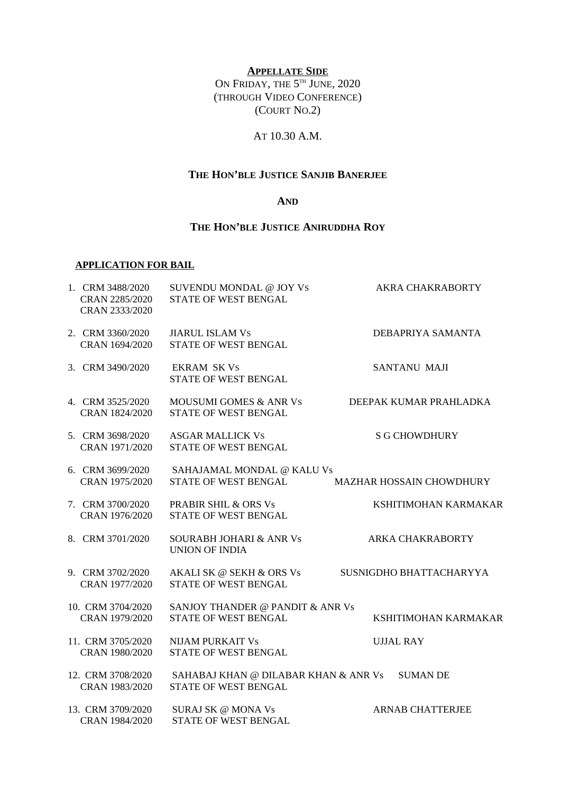## **APPELLATE SIDE**

ON FRIDAY, THE 5<sup>TH</sup> JUNE, 2020 (THROUGH VIDEO CONFERENCE) (COURT NO.2)

## AT 10.30 A.M.

# **THE HON'BLE JUSTICE SANJIB BANERJEE**

## **AND**

## **THE HON'BLE JUSTICE ANIRUDDHA ROY**

## **APPLICATION FOR BAIL**

| 1. CRM 3488/2020<br>CRAN 2285/2020<br>CRAN 2333/2020 | SUVENDU MONDAL @ JOY VS<br>STATE OF WEST BENGAL                 | <b>AKRA CHAKRABORTY</b>  |
|------------------------------------------------------|-----------------------------------------------------------------|--------------------------|
| 2. CRM 3360/2020<br>CRAN 1694/2020                   | <b>JIARUL ISLAM VS</b><br>STATE OF WEST BENGAL                  | DEBAPRIYA SAMANTA        |
| 3. CRM 3490/2020                                     | <b>EKRAM SK Vs</b><br>STATE OF WEST BENGAL                      | <b>SANTANU MAJI</b>      |
| 4. CRM 3525/2020<br>CRAN 1824/2020                   | <b>MOUSUMI GOMES &amp; ANR VS</b><br>STATE OF WEST BENGAL       | DEEPAK KUMAR PRAHLADKA   |
| 5. CRM 3698/2020<br>CRAN 1971/2020                   | <b>ASGAR MALLICK VS</b><br>STATE OF WEST BENGAL                 | <b>S G CHOWDHURY</b>     |
| 6. CRM 3699/2020<br>CRAN 1975/2020                   | SAHAJAMAL MONDAL @ KALU Vs<br>STATE OF WEST BENGAL              | MAZHAR HOSSAIN CHOWDHURY |
| 7. CRM 3700/2020<br>CRAN 1976/2020                   | PRABIR SHIL & ORS Vs<br>STATE OF WEST BENGAL                    | KSHITIMOHAN KARMAKAR     |
| 8. CRM 3701/2020                                     | <b>SOURABH JOHARI &amp; ANR Vs</b><br><b>UNION OF INDIA</b>     | <b>ARKA CHAKRABORTY</b>  |
| 9. CRM 3702/2020<br>CRAN 1977/2020                   | AKALI SK @ SEKH & ORS Vs<br>STATE OF WEST BENGAL                | SUSNIGDHO BHATTACHARYYA  |
| 10. CRM 3704/2020<br>CRAN 1979/2020                  | SANJOY THANDER @ PANDIT & ANR Vs<br><b>STATE OF WEST BENGAL</b> | KSHITIMOHAN KARMAKAR     |
| 11. CRM 3705/2020<br>CRAN 1980/2020                  | <b>NIJAM PURKAIT Vs</b><br>STATE OF WEST BENGAL                 | <b>UJJAL RAY</b>         |
| 12. CRM 3708/2020<br>CRAN 1983/2020                  | SAHABAJ KHAN @ DILABAR KHAN & ANR Vs<br>STATE OF WEST BENGAL    | <b>SUMAN DE</b>          |
| 13. CRM 3709/2020<br>CRAN 1984/2020                  | SURAJ SK @ MONA Vs<br>STATE OF WEST BENGAL                      | <b>ARNAB CHATTERJEE</b>  |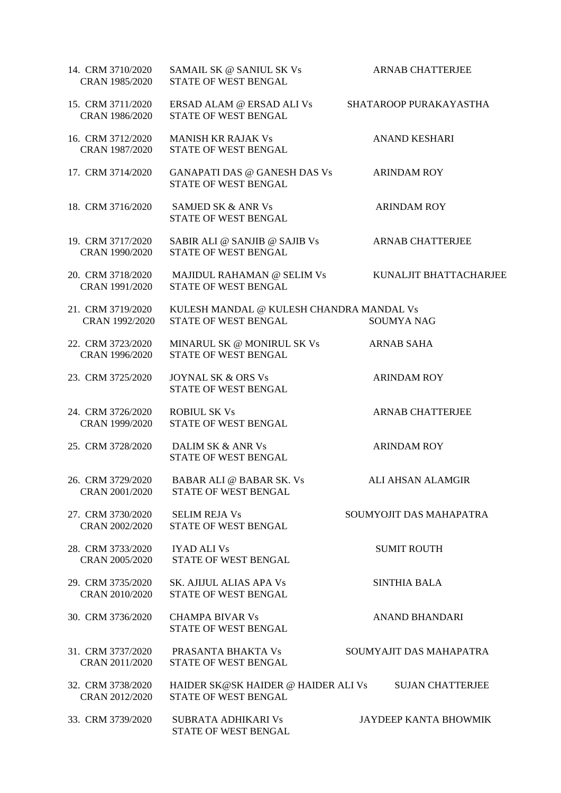| 14. CRM 3710/2020<br>CRAN 1985/2020 | SAMAIL SK @ SANIUL SK Vs<br>STATE OF WEST BENGAL                 | <b>ARNAB CHATTERJEE</b>  |
|-------------------------------------|------------------------------------------------------------------|--------------------------|
| 15. CRM 3711/2020<br>CRAN 1986/2020 | ERSAD ALAM @ ERSAD ALI Vs<br>STATE OF WEST BENGAL                | SHATAROOP PURAKAYASTHA   |
| 16. CRM 3712/2020<br>CRAN 1987/2020 | <b>MANISH KR RAJAK Vs</b><br>STATE OF WEST BENGAL                | <b>ANAND KESHARI</b>     |
| 17. CRM 3714/2020                   | GANAPATI DAS @ GANESH DAS Vs<br>STATE OF WEST BENGAL             | <b>ARINDAM ROY</b>       |
| 18. CRM 3716/2020                   | <b>SAMJED SK &amp; ANR Vs</b><br>STATE OF WEST BENGAL            | <b>ARINDAM ROY</b>       |
| 19. CRM 3717/2020<br>CRAN 1990/2020 | SABIR ALI @ SANJIB @ SAJIB Vs<br>STATE OF WEST BENGAL            | <b>ARNAB CHATTERJEE</b>  |
| 20. CRM 3718/2020<br>CRAN 1991/2020 | MAJIDUL RAHAMAN @ SELIM Vs<br>STATE OF WEST BENGAL               | KUNALJIT BHATTACHARJEE   |
| 21. CRM 3719/2020<br>CRAN 1992/2020 | KULESH MANDAL @ KULESH CHANDRA MANDAL Vs<br>STATE OF WEST BENGAL | <b>SOUMYA NAG</b>        |
| 22. CRM 3723/2020<br>CRAN 1996/2020 | MINARUL SK @ MONIRUL SK Vs<br>STATE OF WEST BENGAL               | <b>ARNAB SAHA</b>        |
| 23. CRM 3725/2020                   | <b>JOYNAL SK &amp; ORS Vs</b><br>STATE OF WEST BENGAL            | <b>ARINDAM ROY</b>       |
| 24. CRM 3726/2020<br>CRAN 1999/2020 | <b>ROBIUL SK Vs</b><br>STATE OF WEST BENGAL                      | <b>ARNAB CHATTERJEE</b>  |
| 25. CRM 3728/2020                   | <b>DALIM SK &amp; ANR Vs</b><br>STATE OF WEST BENGAL             | <b>ARINDAM ROY</b>       |
| 26. CRM 3729/2020<br>CRAN 2001/2020 | BABAR ALI @ BABAR SK. Vs<br><b>STATE OF WEST BENGAL</b>          | <b>ALI AHSAN ALAMGIR</b> |
| 27. CRM 3730/2020<br>CRAN 2002/2020 | <b>SELIM REJA Vs</b><br>STATE OF WEST BENGAL                     | SOUMYOJIT DAS MAHAPATRA  |
| 28. CRM 3733/2020<br>CRAN 2005/2020 | <b>IYAD ALI Vs</b><br>STATE OF WEST BENGAL                       | <b>SUMIT ROUTH</b>       |
| 29. CRM 3735/2020<br>CRAN 2010/2020 | SK. AJIJUL ALIAS APA Vs<br>STATE OF WEST BENGAL                  | <b>SINTHIA BALA</b>      |
| 30. CRM 3736/2020                   | <b>CHAMPA BIVAR Vs</b><br>STATE OF WEST BENGAL                   | <b>ANAND BHANDARI</b>    |
| 31. CRM 3737/2020<br>CRAN 2011/2020 | PRASANTA BHAKTA Vs<br>STATE OF WEST BENGAL                       | SOUMYAJIT DAS MAHAPATRA  |
| 32. CRM 3738/2020<br>CRAN 2012/2020 | HAIDER SK@SK HAIDER @ HAIDER ALI Vs<br>STATE OF WEST BENGAL      | <b>SUJAN CHATTERJEE</b>  |
| 33. CRM 3739/2020                   | SUBRATA ADHIKARI Vs<br>STATE OF WEST BENGAL                      | JAYDEEP KANTA BHOWMIK    |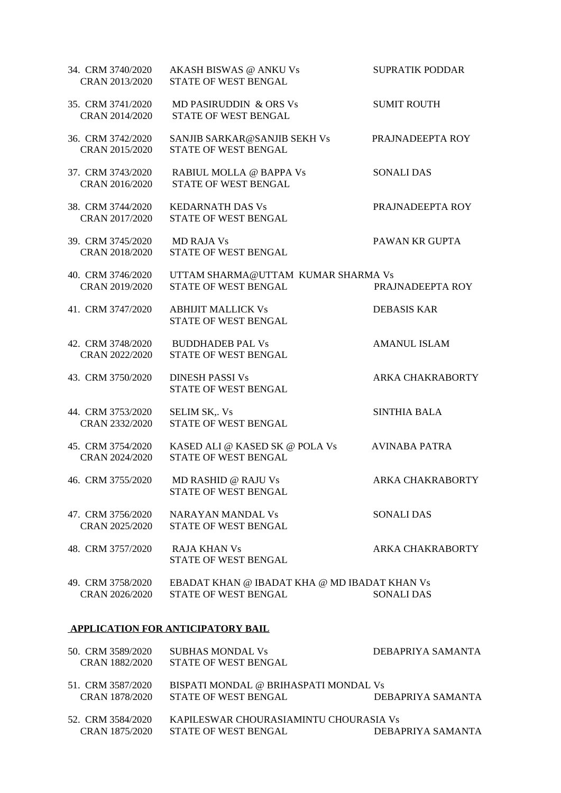| 34. CRM 3740/2020<br>CRAN 2013/2020 | AKASH BISWAS @ ANKU Vs<br>STATE OF WEST BENGAL                       | <b>SUPRATIK PODDAR</b>  |
|-------------------------------------|----------------------------------------------------------------------|-------------------------|
| 35. CRM 3741/2020<br>CRAN 2014/2020 | <b>MD PASIRUDDIN &amp; ORS Vs</b><br>STATE OF WEST BENGAL            | <b>SUMIT ROUTH</b>      |
| 36. CRM 3742/2020<br>CRAN 2015/2020 | SANJIB SARKAR@SANJIB SEKH Vs<br>STATE OF WEST BENGAL                 | PRAJNADEEPTA ROY        |
| 37. CRM 3743/2020<br>CRAN 2016/2020 | RABIUL MOLLA @ BAPPA Vs<br>STATE OF WEST BENGAL                      | <b>SONALI DAS</b>       |
| 38. CRM 3744/2020<br>CRAN 2017/2020 | <b>KEDARNATH DAS Vs</b><br>STATE OF WEST BENGAL                      | PRAJNADEEPTA ROY        |
| 39. CRM 3745/2020<br>CRAN 2018/2020 | <b>MD RAJA Vs</b><br>STATE OF WEST BENGAL                            | PAWAN KR GUPTA          |
| 40. CRM 3746/2020<br>CRAN 2019/2020 | UTTAM SHARMA@UTTAM KUMAR SHARMA Vs<br>STATE OF WEST BENGAL           | PRAJNADEEPTA ROY        |
| 41. CRM 3747/2020                   | <b>ABHIJIT MALLICK Vs</b><br>STATE OF WEST BENGAL                    | <b>DEBASIS KAR</b>      |
| 42. CRM 3748/2020<br>CRAN 2022/2020 | <b>BUDDHADEB PAL Vs</b><br>STATE OF WEST BENGAL                      | <b>AMANUL ISLAM</b>     |
| 43. CRM 3750/2020                   | <b>DINESH PASSI Vs</b><br>STATE OF WEST BENGAL                       | <b>ARKA CHAKRABORTY</b> |
| 44. CRM 3753/2020<br>CRAN 2332/2020 | <b>SELIM SK,. Vs</b><br>STATE OF WEST BENGAL                         | <b>SINTHIA BALA</b>     |
| 45. CRM 3754/2020<br>CRAN 2024/2020 | KASED ALI @ KASED SK @ POLA Vs<br>STATE OF WEST BENGAL               | <b>AVINABA PATRA</b>    |
| 46. CRM 3755/2020                   | MD RASHID @ RAJU Vs<br>STATE OF WEST BENGAL                          | ARKA CHAKRABORTY        |
| 47. CRM 3756/2020<br>CRAN 2025/2020 | <b>NARAYAN MANDAL Vs</b><br>STATE OF WEST BENGAL                     | <b>SONALI DAS</b>       |
| 48. CRM 3757/2020                   | <b>RAJA KHAN Vs</b><br>STATE OF WEST BENGAL                          | <b>ARKA CHAKRABORTY</b> |
| 49. CRM 3758/2020<br>CRAN 2026/2020 | EBADAT KHAN @ IBADAT KHA @ MD IBADAT KHAN Vs<br>STATE OF WEST BENGAL | <b>SONALI DAS</b>       |

#### **APPLICATION FOR ANTICIPATORY BAIL**

| 50. CRM 3589/2020 | SUBHAS MONDAL Vs                       | DEBAPRIYA SAMANTA |
|-------------------|----------------------------------------|-------------------|
| CRAN 1882/2020    | STATE OF WEST BENGAL                   |                   |
| 51. CRM 3587/2020 | BISPATI MONDAL @ BRIHASPATI MONDAL Vs  |                   |
| CRAN 1878/2020    | <b>STATE OF WEST BENGAL</b>            | DEBAPRIYA SAMANTA |
| 52. CRM 3584/2020 | KAPILESWAR CHOURASIAMINTU CHOURASIA Vs |                   |
| CRAN 1875/2020    | <b>STATE OF WEST BENGAL</b>            | DEBAPRIYA SAMANTA |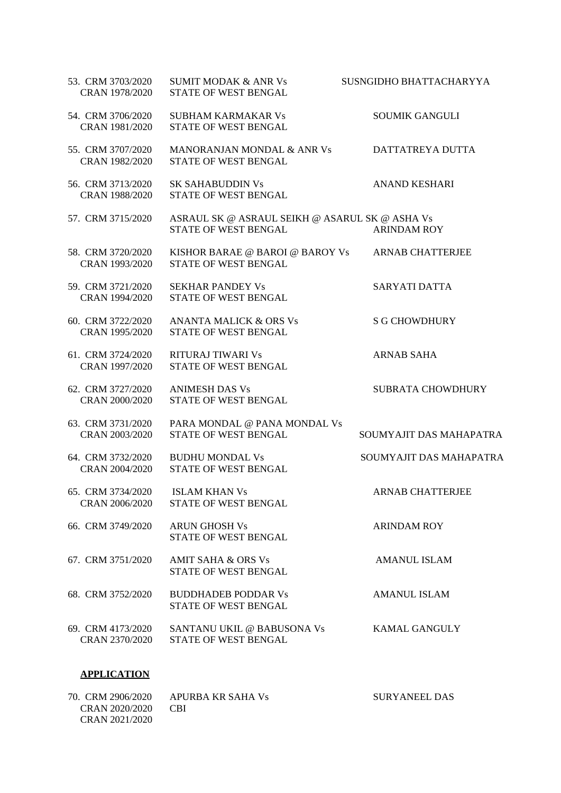| 53. CRM 3703/2020<br>CRAN 1978/2020 | <b>SUMIT MODAK &amp; ANR Vs</b><br><b>STATE OF WEST BENGAL</b>         | SUSNGIDHO BHATTACHARYYA |
|-------------------------------------|------------------------------------------------------------------------|-------------------------|
| 54. CRM 3706/2020<br>CRAN 1981/2020 | <b>SUBHAM KARMAKAR Vs</b><br>STATE OF WEST BENGAL                      | <b>SOUMIK GANGULI</b>   |
| 55. CRM 3707/2020<br>CRAN 1982/2020 | <b>MANORANJAN MONDAL &amp; ANR Vs</b><br>STATE OF WEST BENGAL          | DATTATREYA DUTTA        |
| 56. CRM 3713/2020<br>CRAN 1988/2020 | <b>SK SAHABUDDIN Vs</b><br>STATE OF WEST BENGAL                        | <b>ANAND KESHARI</b>    |
| 57. CRM 3715/2020                   | ASRAUL SK @ ASRAUL SEIKH @ ASARUL SK @ ASHA Vs<br>STATE OF WEST BENGAL | <b>ARINDAM ROY</b>      |
| 58. CRM 3720/2020<br>CRAN 1993/2020 | KISHOR BARAE @ BAROI @ BAROY Vs<br>STATE OF WEST BENGAL                | <b>ARNAB CHATTERJEE</b> |
| 59. CRM 3721/2020<br>CRAN 1994/2020 | <b>SEKHAR PANDEY Vs</b><br>STATE OF WEST BENGAL                        | <b>SARYATI DATTA</b>    |
| 60. CRM 3722/2020<br>CRAN 1995/2020 | <b>ANANTA MALICK &amp; ORS Vs</b><br>STATE OF WEST BENGAL              | <b>S G CHOWDHURY</b>    |
| 61. CRM 3724/2020<br>CRAN 1997/2020 | <b>RITURAJ TIWARI Vs</b><br>STATE OF WEST BENGAL                       | <b>ARNAB SAHA</b>       |
| 62. CRM 3727/2020<br>CRAN 2000/2020 | <b>ANIMESH DAS Vs</b><br>STATE OF WEST BENGAL                          | SUBRATA CHOWDHURY       |
| 63. CRM 3731/2020<br>CRAN 2003/2020 | PARA MONDAL @ PANA MONDAL Vs<br>STATE OF WEST BENGAL                   | SOUMYAJIT DAS MAHAPATRA |
| 64. CRM 3732/2020<br>CRAN 2004/2020 | <b>BUDHU MONDAL Vs</b><br>STATE OF WEST BENGAL                         | SOUMYAJIT DAS MAHAPATRA |
| 65. CRM 3734/2020<br>CRAN 2006/2020 | ISLAM KHAN Vs<br>STATE OF WEST BENGAL                                  | <b>ARNAB CHATTERJEE</b> |
| 66. CRM 3749/2020                   | <b>ARUN GHOSH Vs</b><br>STATE OF WEST BENGAL                           | <b>ARINDAM ROY</b>      |
| 67. CRM 3751/2020                   | <b>AMIT SAHA &amp; ORS Vs</b><br>STATE OF WEST BENGAL                  | <b>AMANUL ISLAM</b>     |
| 68. CRM 3752/2020                   | <b>BUDDHADEB PODDAR Vs</b><br>STATE OF WEST BENGAL                     | <b>AMANUL ISLAM</b>     |
| 69. CRM 4173/2020<br>CRAN 2370/2020 | SANTANU UKIL @ BABUSONA Vs<br>STATE OF WEST BENGAL                     | <b>KAMAL GANGULY</b>    |
| <b>APPLICATION</b>                  |                                                                        |                         |

| 70. CRM 2906/2020 | APURBA KR SAHA Vs | SURYANEEL DAS |
|-------------------|-------------------|---------------|
| CRAN 2020/2020    | - CBI             |               |
| CRAN 2021/2020    |                   |               |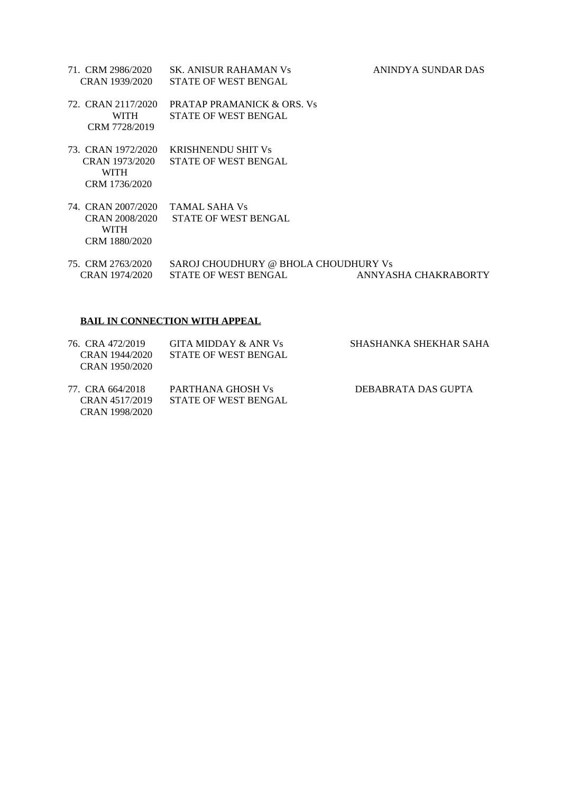- 71. CRM 2986/2020 SK. ANISUR RAHAMAN Vs ANINDYA SUNDAR DAS CRAN 1939/2020 STATE OF WEST BENGAL
- 72. CRAN 2117/2020 PRATAP PRAMANICK & ORS. Vs WITH STATE OF WEST BENGAL CRM 7728/2019
- 73. CRAN 1972/2020 KRISHNENDU SHIT Vs CRAN 1973/2020 STATE OF WEST BENGAL WITH CRM 1736/2020
- 74. CRAN 2007/2020 TAMAL SAHA Vs CRAN 2008/2020 STATE OF WEST BENGAL WITH CRM 1880/2020
- 75. CRM 2763/2020 SAROJ CHOUDHURY @ BHOLA CHOUDHURY Vs CRAN 1974/2020 STATE OF WEST BENGAL ANNYASHA CHAKRABORTY

## **BAIL IN CONNECTION WITH APPEAL**

| 76. CRA 472/2019<br>CRAN 1944/2020 | GITA MIDDAY & ANR Vs<br>STATE OF WEST BENGAL | SHASHANKA SHEKHAR SAHA |
|------------------------------------|----------------------------------------------|------------------------|
| CRAN 1950/2020                     |                                              |                        |
| 77. CRA 664/2018                   | PARTHANA GHOSH Vs                            | DEBABRATA DAS GUPTA    |
| CRAN 4517/2019                     | STATE OF WEST BENGAL                         |                        |
| CRAN 1998/2020                     |                                              |                        |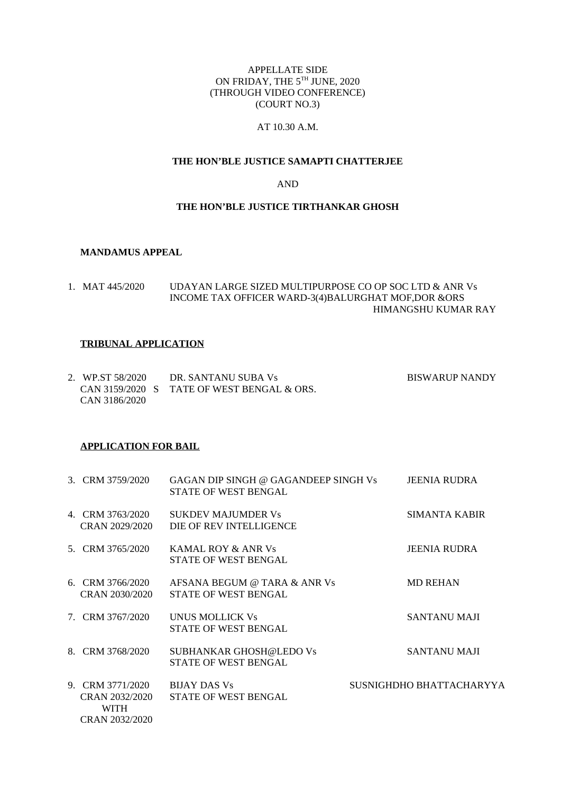## APPELLATE SIDE ON FRIDAY, THE 5TH JUNE, 2020 (THROUGH VIDEO CONFERENCE) (COURT NO.3)

## AT 10.30 A.M.

## **THE HON'BLE JUSTICE SAMAPTI CHATTERJEE**

### AND

## **THE HON'BLE JUSTICE TIRTHANKAR GHOSH**

#### **MANDAMUS APPEAL**

1. MAT 445/2020 UDAYAN LARGE SIZED MULTIPURPOSE CO OP SOC LTD & ANR Vs INCOME TAX OFFICER WARD-3(4)BALURGHAT MOF,DOR &ORS HIMANGSHU KUMAR RAY

#### **TRIBUNAL APPLICATION**

| 2. WP.ST 58/2020 | DR. SANTANU SUBA Vs                        | <b>BISWARUP NANDY</b> |
|------------------|--------------------------------------------|-----------------------|
|                  | CAN 3159/2020 S TATE OF WEST BENGAL & ORS. |                       |
| CAN 3186/2020    |                                            |                       |

#### **APPLICATION FOR BAIL**

| 3. CRM 3759/2020                                             | GAGAN DIP SINGH @ GAGANDEEP SINGH Vs<br>STATE OF WEST BENGAL | <b>JEENIA RUDRA</b>      |
|--------------------------------------------------------------|--------------------------------------------------------------|--------------------------|
| 4. CRM 3763/2020<br>CRAN 2029/2020                           | <b>SUKDEV MAJUMDER Vs</b><br>DIE OF REV INTELLIGENCE         | <b>SIMANTA KABIR</b>     |
| 5. CRM 3765/2020                                             | <b>KAMAL ROY &amp; ANR Vs</b><br>STATE OF WEST BENGAL        | <b>JEENIA RUDRA</b>      |
| 6. CRM 3766/2020<br>CRAN 2030/2020                           | AFSANA BEGUM @ TARA & ANR Vs<br>STATE OF WEST BENGAL         | <b>MD REHAN</b>          |
| 7. CRM 3767/2020                                             | UNUS MOLLICK Vs<br><b>STATE OF WEST BENGAL</b>               | <b>SANTANU MAJI</b>      |
| 8. CRM 3768/2020                                             | SUBHANKAR GHOSH@LEDO Vs<br>STATE OF WEST BENGAL              | <b>SANTANU MAJI</b>      |
| 9. CRM 3771/2020<br>CRAN 2032/2020<br>WITH<br>CRAN 2032/2020 | <b>BLIAY DAS Vs</b><br><b>STATE OF WEST BENGAL</b>           | SUSNIGHDHO BHATTACHARYYA |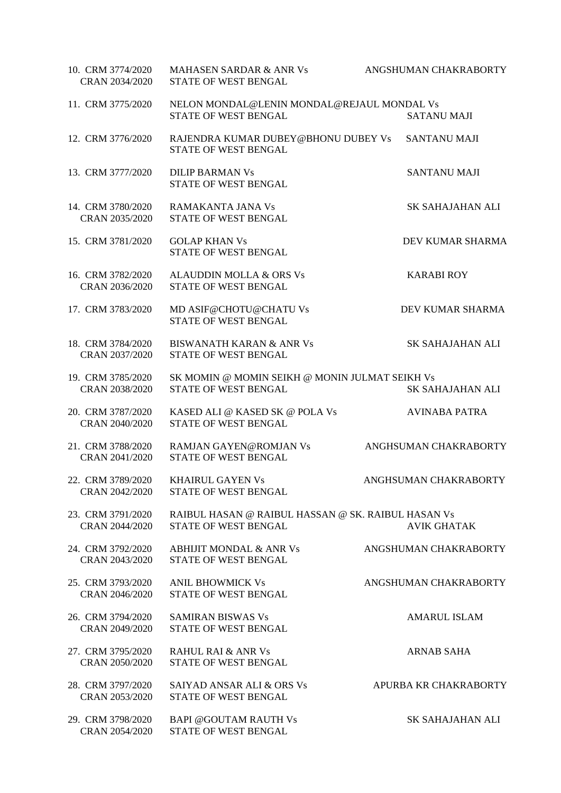| 10. CRM 3774/2020<br>CRAN 2034/2020 | <b>MAHASEN SARDAR &amp; ANR Vs</b><br>STATE OF WEST BENGAL                 | ANGSHUMAN CHAKRABORTY   |
|-------------------------------------|----------------------------------------------------------------------------|-------------------------|
| 11. CRM 3775/2020                   | NELON MONDAL@LENIN MONDAL@REJAUL MONDAL Vs<br>STATE OF WEST BENGAL         | <b>SATANU MAJI</b>      |
| 12. CRM 3776/2020                   | RAJENDRA KUMAR DUBEY@BHONU DUBEY Vs<br>STATE OF WEST BENGAL                | <b>SANTANU MAJI</b>     |
| 13. CRM 3777/2020                   | <b>DILIP BARMAN Vs</b><br>STATE OF WEST BENGAL                             | <b>SANTANU MAJI</b>     |
| 14. CRM 3780/2020<br>CRAN 2035/2020 | RAMAKANTA JANA Vs<br>STATE OF WEST BENGAL                                  | SK SAHAJAHAN ALI        |
| 15. CRM 3781/2020                   | <b>GOLAP KHAN Vs</b><br>STATE OF WEST BENGAL                               | DEV KUMAR SHARMA        |
| 16. CRM 3782/2020<br>CRAN 2036/2020 | <b>ALAUDDIN MOLLA &amp; ORS Vs</b><br>STATE OF WEST BENGAL                 | <b>KARABI ROY</b>       |
| 17. CRM 3783/2020                   | MD ASIF@CHOTU@CHATU Vs<br><b>STATE OF WEST BENGAL</b>                      | DEV KUMAR SHARMA        |
| 18. CRM 3784/2020<br>CRAN 2037/2020 | <b>BISWANATH KARAN &amp; ANR Vs</b><br>STATE OF WEST BENGAL                | <b>SK SAHAJAHAN ALI</b> |
| 19. CRM 3785/2020<br>CRAN 2038/2020 | SK MOMIN @ MOMIN SEIKH @ MONIN JULMAT SEIKH Vs<br>STATE OF WEST BENGAL     | <b>SK SAHAJAHAN ALI</b> |
| 20. CRM 3787/2020<br>CRAN 2040/2020 | KASED ALI @ KASED SK @ POLA Vs<br>STATE OF WEST BENGAL                     | <b>AVINABA PATRA</b>    |
| 21. CRM 3788/2020<br>CRAN 2041/2020 | RAMJAN GAYEN@ROMJAN Vs<br>STATE OF WEST BENGAL                             | ANGHSUMAN CHAKRABORTY   |
| 22. CRM 3789/2020<br>CRAN 2042/2020 | KHAIRUL GAYEN Vs<br>STATE OF WEST BENGAL                                   | ANGHSUMAN CHAKRABORTY   |
| 23. CRM 3791/2020<br>CRAN 2044/2020 | RAIBUL HASAN @ RAIBUL HASSAN @ SK. RAIBUL HASAN Vs<br>STATE OF WEST BENGAL | <b>AVIK GHATAK</b>      |
| 24. CRM 3792/2020<br>CRAN 2043/2020 | <b>ABHIJIT MONDAL &amp; ANR Vs</b><br>STATE OF WEST BENGAL                 | ANGSHUMAN CHAKRABORTY   |
| 25. CRM 3793/2020<br>CRAN 2046/2020 | <b>ANIL BHOWMICK Vs</b><br>STATE OF WEST BENGAL                            | ANGSHUMAN CHAKRABORTY   |
| 26. CRM 3794/2020<br>CRAN 2049/2020 | <b>SAMIRAN BISWAS Vs</b><br>STATE OF WEST BENGAL                           | <b>AMARUL ISLAM</b>     |
| 27. CRM 3795/2020<br>CRAN 2050/2020 | <b>RAHUL RAI &amp; ANR Vs</b><br>STATE OF WEST BENGAL                      | <b>ARNAB SAHA</b>       |
| 28. CRM 3797/2020<br>CRAN 2053/2020 | <b>SAIYAD ANSAR ALI &amp; ORS Vs</b><br>STATE OF WEST BENGAL               | APURBA KR CHAKRABORTY   |
| 29. CRM 3798/2020<br>CRAN 2054/2020 | <b>BAPI @GOUTAM RAUTH Vs</b><br>STATE OF WEST BENGAL                       | SK SAHAJAHAN ALI        |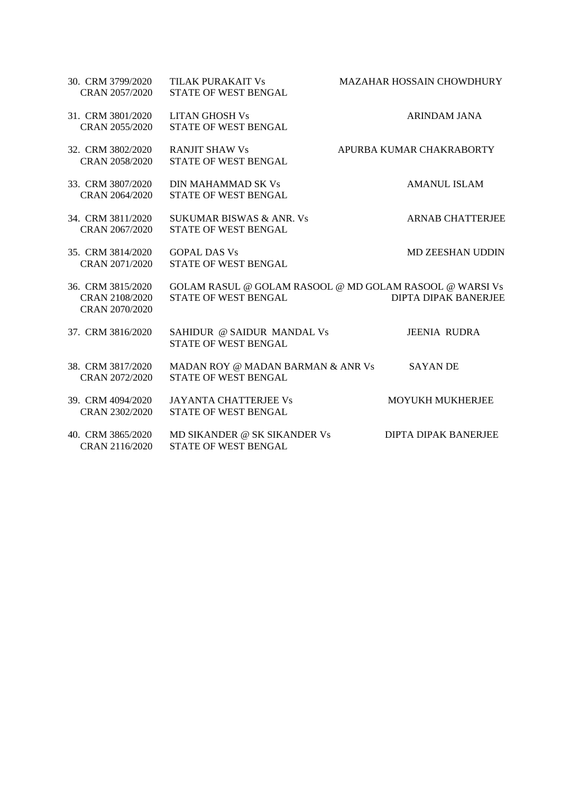| 30. CRM 3799/2020<br>CRAN 2057/2020                   | TILAK PURAKAIT Vs<br>STATE OF WEST BENGAL                          | MAZAHAR HOSSAIN CHOWDHURY                                                              |
|-------------------------------------------------------|--------------------------------------------------------------------|----------------------------------------------------------------------------------------|
| 31. CRM 3801/2020<br>CRAN 2055/2020                   | <b>LITAN GHOSH Vs</b><br><b>STATE OF WEST BENGAL</b>               | <b>ARINDAM JANA</b>                                                                    |
| 32. CRM 3802/2020<br>CRAN 2058/2020                   | <b>RANJIT SHAW Vs</b><br><b>STATE OF WEST BENGAL</b>               | APURBA KUMAR CHAKRABORTY                                                               |
| 33. CRM 3807/2020<br>CRAN 2064/2020                   | DIN MAHAMMAD SK Vs<br><b>STATE OF WEST BENGAL</b>                  | <b>AMANUL ISLAM</b>                                                                    |
| 34. CRM 3811/2020<br>CRAN 2067/2020                   | <b>SUKUMAR BISWAS &amp; ANR. Vs</b><br><b>STATE OF WEST BENGAL</b> | <b>ARNAB CHATTERJEE</b>                                                                |
| 35. CRM 3814/2020<br>CRAN 2071/2020                   | <b>GOPAL DAS Vs</b><br>STATE OF WEST BENGAL                        | <b>MD ZEESHAN UDDIN</b>                                                                |
| 36. CRM 3815/2020<br>CRAN 2108/2020<br>CRAN 2070/2020 | <b>STATE OF WEST BENGAL</b>                                        | GOLAM RASUL @ GOLAM RASOOL @ MD GOLAM RASOOL @ WARSI Vs<br><b>DIPTA DIPAK BANERJEE</b> |
| 37. CRM 3816/2020                                     | SAHIDUR @ SAIDUR MANDAL Vs<br><b>STATE OF WEST BENGAL</b>          | <b>JEENIA RUDRA</b>                                                                    |
| 38. CRM 3817/2020<br>CRAN 2072/2020                   | MADAN ROY @ MADAN BARMAN & ANR Vs<br>STATE OF WEST BENGAL          | <b>SAYAN DE</b>                                                                        |
| 39. CRM 4094/2020<br>CRAN 2302/2020                   | <b>JAYANTA CHATTERJEE Vs</b><br>STATE OF WEST BENGAL               | MOYUKH MUKHERJEE                                                                       |
| 40. CRM 3865/2020<br>CRAN 2116/2020                   | MD SIKANDER @ SK SIKANDER Vs<br><b>STATE OF WEST BENGAL</b>        | DIPTA DIPAK BANERJEE                                                                   |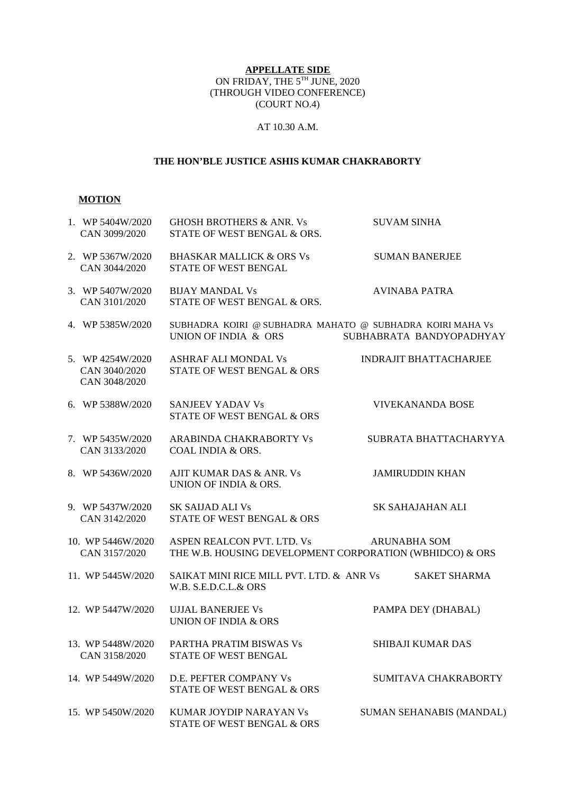## **APPELLATE SIDE** ON FRIDAY, THE 5TH JUNE, 2020 (THROUGH VIDEO CONFERENCE) (COURT NO.4)

## AT 10.30 A.M.

## **THE HON'BLE JUSTICE ASHIS KUMAR CHAKRABORTY**

#### **MOTION**

| 1. WP 5404W/2020<br>CAN 3099/2020                  | <b>GHOSH BROTHERS &amp; ANR. Vs</b><br>STATE OF WEST BENGAL & ORS.                     | <b>SUVAM SINHA</b>              |
|----------------------------------------------------|----------------------------------------------------------------------------------------|---------------------------------|
| 2. WP 5367W/2020<br>CAN 3044/2020                  | <b>BHASKAR MALLICK &amp; ORS Vs</b><br>STATE OF WEST BENGAL                            | <b>SUMAN BANERJEE</b>           |
| 3. WP 5407W/2020<br>CAN 3101/2020                  | <b>BIJAY MANDAL Vs</b><br>STATE OF WEST BENGAL & ORS.                                  | <b>AVINABA PATRA</b>            |
| 4. WP 5385W/2020                                   | SUBHADRA KOIRI @ SUBHADRA MAHATO @ SUBHADRA KOIRI MAHA Vs<br>UNION OF INDIA & ORS      | SUBHABRATA BANDYOPADHYAY        |
| 5. WP 4254W/2020<br>CAN 3040/2020<br>CAN 3048/2020 | ASHRAF ALI MONDAL Vs<br>STATE OF WEST BENGAL & ORS                                     | <b>INDRAJIT BHATTACHARJEE</b>   |
| 6. WP 5388W/2020                                   | <b>SANJEEV YADAV Vs</b><br>STATE OF WEST BENGAL & ORS                                  | <b>VIVEKANANDA BOSE</b>         |
| 7. WP 5435W/2020<br>CAN 3133/2020                  | ARABINDA CHAKRABORTY Vs<br>COAL INDIA & ORS.                                           | SUBRATA BHATTACHARYYA           |
| 8. WP 5436W/2020                                   | AJIT KUMAR DAS & ANR. Vs<br>UNION OF INDIA & ORS.                                      | <b>JAMIRUDDIN KHAN</b>          |
| 9. WP 5437W/2020<br>CAN 3142/2020                  | SK SAIJAD ALI Vs<br>STATE OF WEST BENGAL & ORS                                         | SK SAHAJAHAN ALI                |
| 10. WP 5446W/2020<br>CAN 3157/2020                 | ASPEN REALCON PVT. LTD. Vs<br>THE W.B. HOUSING DEVELOPMENT CORPORATION (WBHIDCO) & ORS | <b>ARUNABHA SOM</b>             |
| 11. WP 5445W/2020                                  | SAIKAT MINI RICE MILL PVT. LTD. & ANR Vs<br>W.B. S.E.D.C.L.& ORS                       | <b>SAKET SHARMA</b>             |
| 12. WP 5447W/2020                                  | <b>UJJAL BANERJEE Vs</b><br>UNION OF INDIA & ORS                                       | PAMPA DEY (DHABAL)              |
| 13. WP 5448W/2020<br>CAN 3158/2020                 | PARTHA PRATIM BISWAS Vs<br>STATE OF WEST BENGAL                                        | <b>SHIBAJI KUMAR DAS</b>        |
| 14. WP 5449W/2020                                  | D.E. PEFTER COMPANY Vs<br>STATE OF WEST BENGAL & ORS                                   | SUMITAVA CHAKRABORTY            |
| 15. WP 5450W/2020                                  | KUMAR JOYDIP NARAYAN Vs<br>STATE OF WEST BENGAL & ORS                                  | <b>SUMAN SEHANABIS (MANDAL)</b> |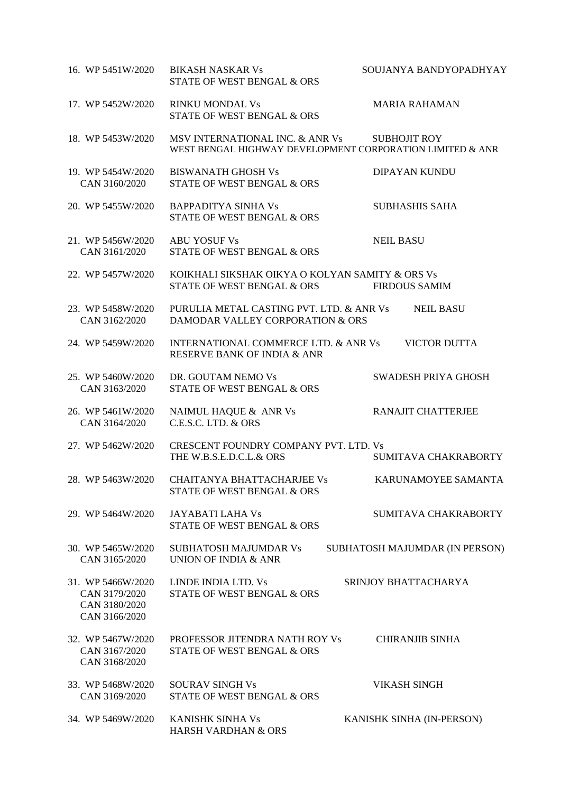| 16. WP 5451W/2020                                                    | <b>BIKASH NASKAR Vs</b><br><b>STATE OF WEST BENGAL &amp; ORS</b>                             | SOUJANYA BANDYOPADHYAY         |
|----------------------------------------------------------------------|----------------------------------------------------------------------------------------------|--------------------------------|
| 17. WP 5452W/2020                                                    | <b>RINKU MONDAL Vs</b><br><b>STATE OF WEST BENGAL &amp; ORS</b>                              | <b>MARIA RAHAMAN</b>           |
| 18. WP 5453W/2020                                                    | MSV INTERNATIONAL INC. & ANR Vs<br>WEST BENGAL HIGHWAY DEVELOPMENT CORPORATION LIMITED & ANR | <b>SUBHOJIT ROY</b>            |
| 19. WP 5454W/2020<br>CAN 3160/2020                                   | <b>BISWANATH GHOSH Vs</b><br><b>STATE OF WEST BENGAL &amp; ORS</b>                           | DIPAYAN KUNDU                  |
| 20. WP 5455W/2020                                                    | <b>BAPPADITYA SINHA Vs</b><br>STATE OF WEST BENGAL & ORS                                     | <b>SUBHASHIS SAHA</b>          |
| 21. WP 5456W/2020<br>CAN 3161/2020                                   | <b>ABU YOSUF Vs</b><br>STATE OF WEST BENGAL & ORS                                            | <b>NEIL BASU</b>               |
| 22. WP 5457W/2020                                                    | KOIKHALI SIKSHAK OIKYA O KOLYAN SAMITY & ORS Vs<br><b>STATE OF WEST BENGAL &amp; ORS</b>     | <b>FIRDOUS SAMIM</b>           |
| 23. WP 5458W/2020<br>CAN 3162/2020                                   | PURULIA METAL CASTING PVT. LTD. & ANR Vs<br>DAMODAR VALLEY CORPORATION & ORS                 | <b>NEIL BASU</b>               |
| 24. WP 5459W/2020                                                    | <b>INTERNATIONAL COMMERCE LTD. &amp; ANR Vs</b><br>RESERVE BANK OF INDIA & ANR               | <b>VICTOR DUTTA</b>            |
| 25. WP 5460W/2020<br>CAN 3163/2020                                   | DR. GOUTAM NEMO Vs<br>STATE OF WEST BENGAL & ORS                                             | SWADESH PRIYA GHOSH            |
| 26. WP 5461W/2020<br>CAN 3164/2020                                   | NAIMUL HAQUE & ANR Vs<br>C.E.S.C. LTD. & ORS                                                 | RANAJIT CHATTERJEE             |
| 27. WP 5462W/2020                                                    | CRESCENT FOUNDRY COMPANY PVT. LTD. Vs<br>THE W.B.S.E.D.C.L.& ORS                             | SUMITAVA CHAKRABORTY           |
| 28. WP 5463W/2020                                                    | CHAITANYA BHATTACHARJEE Vs<br><b>STATE OF WEST BENGAL &amp; ORS</b>                          | KARUNAMOYEE SAMANTA            |
| 29. WP 5464W/2020                                                    | <b>JAYABATI LAHA Vs</b><br>STATE OF WEST BENGAL & ORS                                        | SUMITAVA CHAKRABORTY           |
| 30. WP 5465W/2020<br>CAN 3165/2020                                   | SUBHATOSH MAJUMDAR Vs<br>UNION OF INDIA & ANR                                                | SUBHATOSH MAJUMDAR (IN PERSON) |
| 31. WP 5466W/2020<br>CAN 3179/2020<br>CAN 3180/2020<br>CAN 3166/2020 | LINDE INDIA LTD. Vs<br><b>STATE OF WEST BENGAL &amp; ORS</b>                                 | SRINJOY BHATTACHARYA           |
| 32. WP 5467W/2020<br>CAN 3167/2020<br>CAN 3168/2020                  | PROFESSOR JITENDRA NATH ROY Vs<br><b>STATE OF WEST BENGAL &amp; ORS</b>                      | <b>CHIRANJIB SINHA</b>         |
| 33. WP 5468W/2020<br>CAN 3169/2020                                   | <b>SOURAV SINGH Vs</b><br><b>STATE OF WEST BENGAL &amp; ORS</b>                              | <b>VIKASH SINGH</b>            |
| 34. WP 5469W/2020                                                    | <b>KANISHK SINHA Vs</b><br><b>HARSH VARDHAN &amp; ORS</b>                                    | KANISHK SINHA (IN-PERSON)      |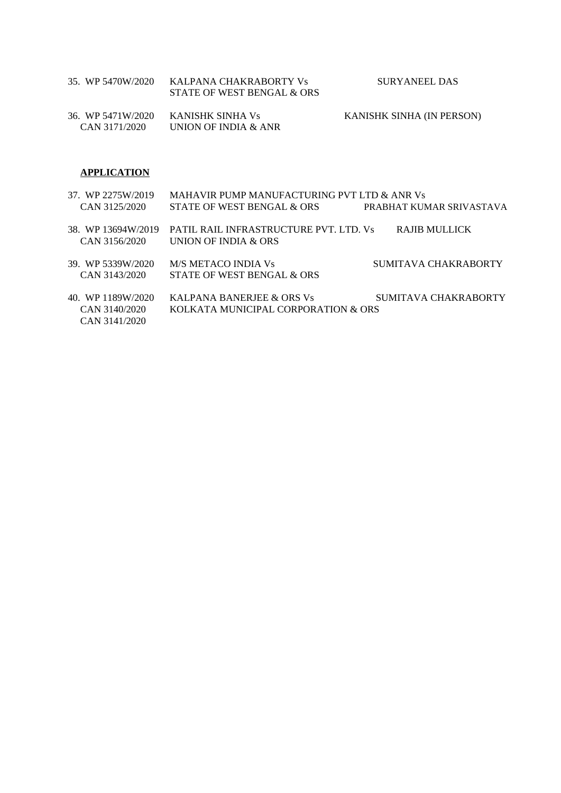| 35. WP 5470W/2020 | – KALPANA CHAKRABORTY Vs<br>STATE OF WEST BENGAL & ORS | SURYANEEL DAS                    |
|-------------------|--------------------------------------------------------|----------------------------------|
|                   | 36. WP 5471W/2020     KANISHK SINHA Vs                 | <b>KANISHK SINHA (IN PERSON)</b> |

## **APPLICATION**

CAN 3171/2020 UNION OF INDIA & ANR

| 37. WP 2275W/2019  | MAHAVIR PUMP MANUFACTURING PVT LTD & ANR Vs |                          |  |
|--------------------|---------------------------------------------|--------------------------|--|
| CAN 3125/2020      | STATE OF WEST BENGAL & ORS                  | PRABHAT KUMAR SRIVASTAVA |  |
| 38. WP 13694W/2019 | PATIL RAIL INFRASTRUCTURE PVT. LTD. Vs      | RAJIB MULLICK            |  |
| CAN 3156/2020      | UNION OF INDIA & ORS                        |                          |  |
| 39. WP 5339W/2020  | M/S METACO INDIA Vs                         | SUMITAVA CHAKRABORTY     |  |
| CAN 3143/2020      | STATE OF WEST BENGAL & ORS                  |                          |  |
| 40. WP 1189W/2020  | KALPANA BANERJEE & ORS Vs                   | SUMITAVA CHAKRABORTY     |  |
| CAN 3140/2020      | KOLKATA MUNICIPAL CORPORATION & ORS         |                          |  |
| CAN 3141/2020      |                                             |                          |  |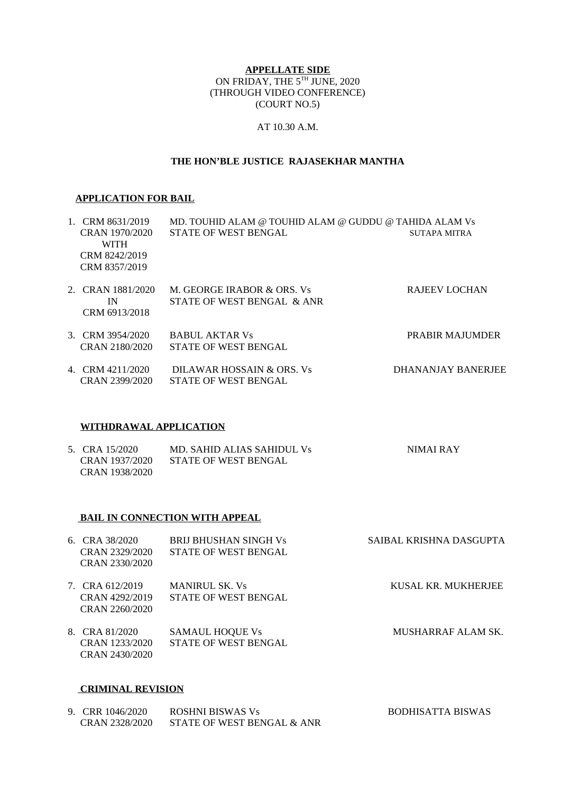## **APPELLATE SIDE** ON FRIDAY, THE 5TH JUNE, 2020 (THROUGH VIDEO CONFERENCE) (COURT NO.5)

## AT 10.30 A.M.

## **THE HON'BLE JUSTICE RAJASEKHAR MANTHA**

#### **APPLICATION FOR BAIL**

| 1. CRM 8631/2019<br>MD. TOUHID ALAM @ TOUHID ALAM @ GUDDU @ TAHIDA ALAM Vs |                   |                             |                      |
|----------------------------------------------------------------------------|-------------------|-----------------------------|----------------------|
|                                                                            | CRAN 1970/2020    | <b>STATE OF WEST BENGAL</b> | SUTAPA MITRA         |
|                                                                            | <b>WITH</b>       |                             |                      |
|                                                                            | CRM 8242/2019     |                             |                      |
|                                                                            | CRM 8357/2019     |                             |                      |
|                                                                            |                   |                             |                      |
|                                                                            | 2. CRAN 1881/2020 | M. GEORGE IRABOR & ORS. Vs  | <b>RAJEEV LOCHAN</b> |
|                                                                            | ΙN                | STATE OF WEST BENGAL & ANR  |                      |
|                                                                            | CRM 6913/2018     |                             |                      |
|                                                                            |                   |                             |                      |
|                                                                            | 3. CRM 3954/2020  | <b>BABUL AKTAR Vs</b>       | PRABIR MAJUMDER      |
|                                                                            | CRAN 2180/2020    | <b>STATE OF WEST BENGAL</b> |                      |
|                                                                            |                   |                             |                      |
|                                                                            | 4. CRM 4211/2020  | DILAWAR HOSSAIN & ORS. Vs   | DHANANJAY BANERJEE   |
|                                                                            | CRAN 2399/2020    | <b>STATE OF WEST BENGAL</b> |                      |

#### **WITHDRAWAL APPLICATION**

| 5. CRA 15/2020 | MD. SAHID ALIAS SAHIDUL Vs | NIMAI RAY |
|----------------|----------------------------|-----------|
| CRAN 1937/2020 | STATE OF WEST BENGAL       |           |
| CRAN 1938/2020 |                            |           |

## **BAIL IN CONNECTION WITH APPEAL**

| 6. CRA 38/2020                            | <b>BRU BHUSHAN SINGH Vs</b> | SAIBAL KRISHNA DASGUPTA |
|-------------------------------------------|-----------------------------|-------------------------|
| CRAN 2329/2020                            | <b>STATE OF WEST BENGAL</b> |                         |
| CRAN 2330/2020                            |                             |                         |
| 7. CRA 612/2019                           | <b>MANIRUL SK. Vs</b>       | KUSAL KR. MUKHERJEE     |
| CRAN 4292/2019                            | <b>STATE OF WEST BENGAL</b> |                         |
| CRAN 2260/2020                            |                             |                         |
| $\sim$ $\sim$ $\sim$ $\sim$ $\sim$ $\sim$ |                             |                         |

8. CRA 81/2020 SAMAUL HOQUE Vs MUSHARRAF ALAM SK. CRAN 1233/2020 STATE OF WEST BENGAL CRAN 2430/2020

## **CRIMINAL REVISION**

| 9. CRR 1046/2020 | ROSHNI BISWAS Vs           | BODHISATTA BISWAS |
|------------------|----------------------------|-------------------|
| CRAN 2328/2020   | STATE OF WEST BENGAL & ANR |                   |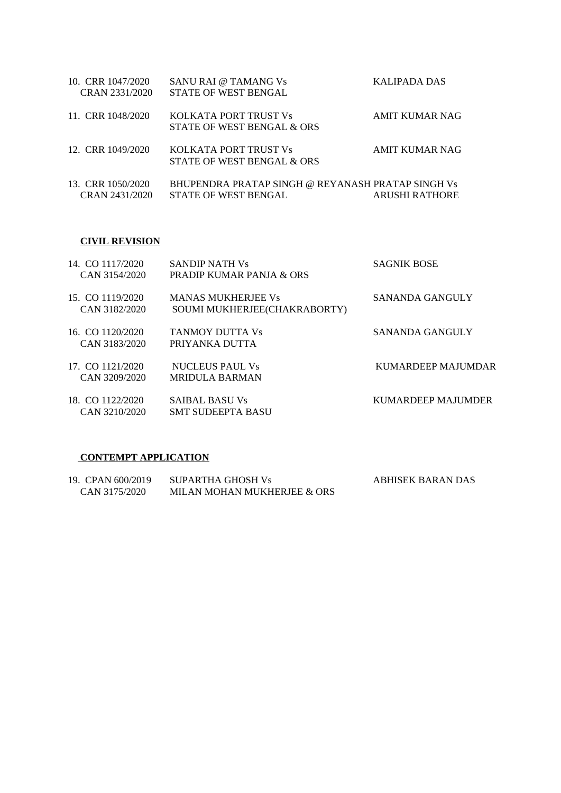| 10. CRR 1047/2020<br>CRAN 2331/2020 | SANU RAI @ TAMANG Vs<br><b>STATE OF WEST BENGAL</b>                              | KALIPADA DAS          |
|-------------------------------------|----------------------------------------------------------------------------------|-----------------------|
| 11. CRR 1048/2020                   | KOLKATA PORT TRUST Vs<br>STATE OF WEST BENGAL & ORS                              | AMIT KUMAR NAG        |
| 12. CRR 1049/2020                   | KOLKATA PORT TRUST Vs<br>STATE OF WEST BENGAL & ORS                              | AMIT KUMAR NAG        |
| 13. CRR 1050/2020<br>CRAN 2431/2020 | BHUPENDRA PRATAP SINGH @ REYANASH PRATAP SINGH Vs<br><b>STATE OF WEST BENGAL</b> | <b>ARUSHI RATHORE</b> |

## **CIVIL REVISION**

| 14. CO 1117/2020<br>CAN 3154/2020 | <b>SANDIP NATH Vs</b><br>PRADIP KUMAR PANJA & ORS         | <b>SAGNIK BOSE</b> |
|-----------------------------------|-----------------------------------------------------------|--------------------|
| 15. CO 1119/2020<br>CAN 3182/2020 | <b>MANAS MUKHERJEE Vs</b><br>SOUMI MUKHERJEE(CHAKRABORTY) | SANANDA GANGULY    |
| 16. CO 1120/2020<br>CAN 3183/2020 | TANMOY DUTTA Vs<br>PRIYANKA DUTTA                         | SANANDA GANGULY    |
| 17 CO 1121/2020<br>CAN 3209/2020  | <b>NUCLEUS PAUL Vs</b><br><b>MRIDULA BARMAN</b>           | KUMARDEEP MAJUMDAR |
| 18. CO 1122/2020<br>CAN 3210/2020 | <b>SAIBAL BASU Vs</b><br><b>SMT SUDEEPTA BASU</b>         | KUMARDEEP MAJUMDER |
|                                   |                                                           |                    |

#### **CONTEMPT APPLICATION**

| 19. CPAN 600/2019 | SUPARTHA GHOSH Vs           | ABHISEK BARAN DAS |
|-------------------|-----------------------------|-------------------|
| CAN 3175/2020     | MILAN MOHAN MUKHERJEE & ORS |                   |